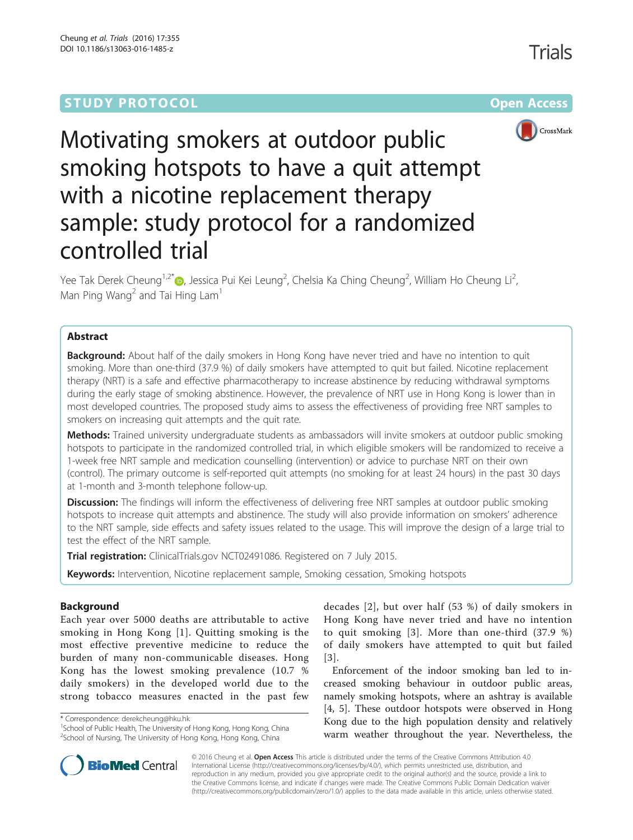# **STUDY PROTOCOL CONSUMING THE RESERVE ACCESS**



# Motivating smokers at outdoor public smoking hotspots to have a quit attempt with a nicotine replacement therapy sample: study protocol for a randomized controlled trial

Yee Tak Derek Cheung<sup>1,2[\\*](http://orcid.org/0000-0002-5850-5349)</sup>®, Jessica Pui Kei Leung<sup>2</sup>, Chelsia Ka Ching Cheung<sup>2</sup>, William Ho Cheung Li<sup>2</sup> , Man Ping Wang<sup>2</sup> and Tai Hing Lam<sup>1</sup>

## Abstract

**Background:** About half of the daily smokers in Hong Kong have never tried and have no intention to quit smoking. More than one-third (37.9 %) of daily smokers have attempted to quit but failed. Nicotine replacement therapy (NRT) is a safe and effective pharmacotherapy to increase abstinence by reducing withdrawal symptoms during the early stage of smoking abstinence. However, the prevalence of NRT use in Hong Kong is lower than in most developed countries. The proposed study aims to assess the effectiveness of providing free NRT samples to smokers on increasing quit attempts and the quit rate.

Methods: Trained university undergraduate students as ambassadors will invite smokers at outdoor public smoking hotspots to participate in the randomized controlled trial, in which eligible smokers will be randomized to receive a 1-week free NRT sample and medication counselling (intervention) or advice to purchase NRT on their own (control). The primary outcome is self-reported quit attempts (no smoking for at least 24 hours) in the past 30 days at 1-month and 3-month telephone follow-up.

**Discussion:** The findings will inform the effectiveness of delivering free NRT samples at outdoor public smoking hotspots to increase quit attempts and abstinence. The study will also provide information on smokers' adherence to the NRT sample, side effects and safety issues related to the usage. This will improve the design of a large trial to test the effect of the NRT sample.

Trial registration: ClinicalTrials.gov [NCT02491086](https://clinicaltrials.gov/ct2/show/NCT02491086?term=NCT02491086&rank=1). Registered on 7 July 2015.

Keywords: Intervention, Nicotine replacement sample, Smoking cessation, Smoking hotspots

## Background

Each year over 5000 deaths are attributable to active smoking in Hong Kong [[1](#page-6-0)]. Quitting smoking is the most effective preventive medicine to reduce the burden of many non-communicable diseases. Hong Kong has the lowest smoking prevalence (10.7 % daily smokers) in the developed world due to the strong tobacco measures enacted in the past few

\* Correspondence: [derekcheung@hku.hk](mailto:derekcheung@hku.hk) <sup>1</sup>

decades [[2](#page-6-0)], but over half (53 %) of daily smokers in Hong Kong have never tried and have no intention to quit smoking [\[3\]](#page-6-0). More than one-third (37.9 %) of daily smokers have attempted to quit but failed [[3](#page-6-0)].

Enforcement of the indoor smoking ban led to increased smoking behaviour in outdoor public areas, namely smoking hotspots, where an ashtray is available [[4, 5](#page-6-0)]. These outdoor hotspots were observed in Hong Kong due to the high population density and relatively warm weather throughout the year. Nevertheless, the



© 2016 Cheung et al. Open Access This article is distributed under the terms of the Creative Commons Attribution 4.0 International License [\(http://creativecommons.org/licenses/by/4.0/](http://creativecommons.org/licenses/by/4.0/)), which permits unrestricted use, distribution, and reproduction in any medium, provided you give appropriate credit to the original author(s) and the source, provide a link to the Creative Commons license, and indicate if changes were made. The Creative Commons Public Domain Dedication waiver [\(http://creativecommons.org/publicdomain/zero/1.0/](http://creativecommons.org/publicdomain/zero/1.0/)) applies to the data made available in this article, unless otherwise stated.

<sup>&</sup>lt;sup>1</sup> School of Public Health, The University of Hong Kong, Hong Kong, China <sup>2</sup>School of Nursing, The University of Hong Kong, Hong Kong, China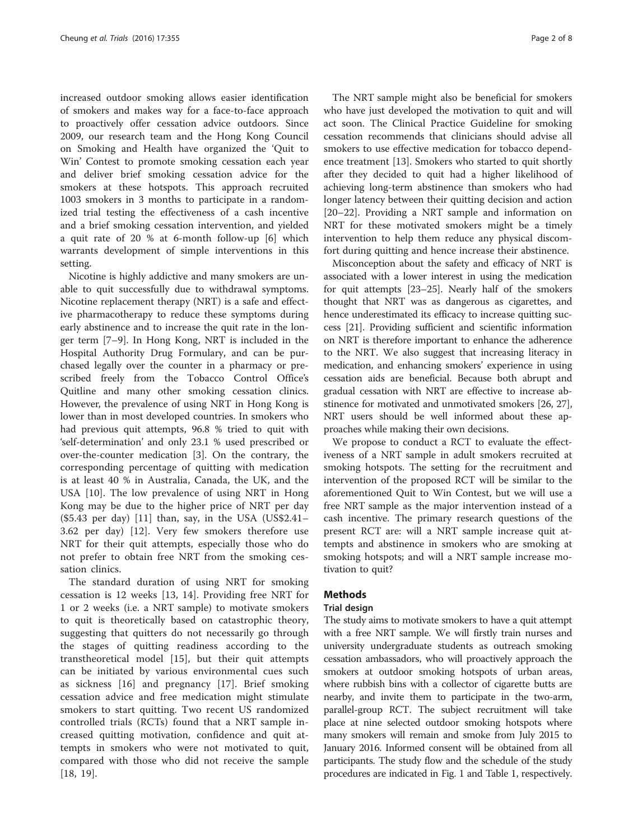increased outdoor smoking allows easier identification of smokers and makes way for a face-to-face approach to proactively offer cessation advice outdoors. Since 2009, our research team and the Hong Kong Council on Smoking and Health have organized the 'Quit to Win' Contest to promote smoking cessation each year and deliver brief smoking cessation advice for the smokers at these hotspots. This approach recruited 1003 smokers in 3 months to participate in a randomized trial testing the effectiveness of a cash incentive and a brief smoking cessation intervention, and yielded a quit rate of 20 % at 6-month follow-up [[6](#page-6-0)] which warrants development of simple interventions in this setting.

Nicotine is highly addictive and many smokers are unable to quit successfully due to withdrawal symptoms. Nicotine replacement therapy (NRT) is a safe and effective pharmacotherapy to reduce these symptoms during early abstinence and to increase the quit rate in the longer term [\[7](#page-6-0)–[9\]](#page-6-0). In Hong Kong, NRT is included in the Hospital Authority Drug Formulary, and can be purchased legally over the counter in a pharmacy or prescribed freely from the Tobacco Control Office's Quitline and many other smoking cessation clinics. However, the prevalence of using NRT in Hong Kong is lower than in most developed countries. In smokers who had previous quit attempts, 96.8 % tried to quit with 'self-determination' and only 23.1 % used prescribed or over-the-counter medication [[3](#page-6-0)]. On the contrary, the corresponding percentage of quitting with medication is at least 40 % in Australia, Canada, the UK, and the USA [[10\]](#page-6-0). The low prevalence of using NRT in Hong Kong may be due to the higher price of NRT per day (\$5.43 per day) [[11](#page-6-0)] than, say, in the USA (US\$2.41– 3.62 per day) [[12\]](#page-6-0). Very few smokers therefore use NRT for their quit attempts, especially those who do not prefer to obtain free NRT from the smoking cessation clinics.

The standard duration of using NRT for smoking cessation is 12 weeks [\[13](#page-6-0), [14\]](#page-6-0). Providing free NRT for 1 or 2 weeks (i.e. a NRT sample) to motivate smokers to quit is theoretically based on catastrophic theory, suggesting that quitters do not necessarily go through the stages of quitting readiness according to the transtheoretical model [[15\]](#page-6-0), but their quit attempts can be initiated by various environmental cues such as sickness [[16](#page-7-0)] and pregnancy [[17\]](#page-7-0). Brief smoking cessation advice and free medication might stimulate smokers to start quitting. Two recent US randomized controlled trials (RCTs) found that a NRT sample increased quitting motivation, confidence and quit attempts in smokers who were not motivated to quit, compared with those who did not receive the sample [[18, 19](#page-7-0)].

The NRT sample might also be beneficial for smokers who have just developed the motivation to quit and will act soon. The Clinical Practice Guideline for smoking cessation recommends that clinicians should advise all smokers to use effective medication for tobacco dependence treatment [[13](#page-6-0)]. Smokers who started to quit shortly after they decided to quit had a higher likelihood of achieving long-term abstinence than smokers who had longer latency between their quitting decision and action [[20](#page-7-0)–[22](#page-7-0)]. Providing a NRT sample and information on NRT for these motivated smokers might be a timely intervention to help them reduce any physical discomfort during quitting and hence increase their abstinence.

Misconception about the safety and efficacy of NRT is associated with a lower interest in using the medication for quit attempts [\[23](#page-7-0)–[25](#page-7-0)]. Nearly half of the smokers thought that NRT was as dangerous as cigarettes, and hence underestimated its efficacy to increase quitting success [\[21](#page-7-0)]. Providing sufficient and scientific information on NRT is therefore important to enhance the adherence to the NRT. We also suggest that increasing literacy in medication, and enhancing smokers' experience in using cessation aids are beneficial. Because both abrupt and gradual cessation with NRT are effective to increase abstinence for motivated and unmotivated smokers [[26, 27](#page-7-0)], NRT users should be well informed about these approaches while making their own decisions.

We propose to conduct a RCT to evaluate the effectiveness of a NRT sample in adult smokers recruited at smoking hotspots. The setting for the recruitment and intervention of the proposed RCT will be similar to the aforementioned Quit to Win Contest, but we will use a free NRT sample as the major intervention instead of a cash incentive. The primary research questions of the present RCT are: will a NRT sample increase quit attempts and abstinence in smokers who are smoking at smoking hotspots; and will a NRT sample increase motivation to quit?

## Methods

#### Trial design

The study aims to motivate smokers to have a quit attempt with a free NRT sample. We will firstly train nurses and university undergraduate students as outreach smoking cessation ambassadors, who will proactively approach the smokers at outdoor smoking hotspots of urban areas, where rubbish bins with a collector of cigarette butts are nearby, and invite them to participate in the two-arm, parallel-group RCT. The subject recruitment will take place at nine selected outdoor smoking hotspots where many smokers will remain and smoke from July 2015 to January 2016. Informed consent will be obtained from all participants. The study flow and the schedule of the study procedures are indicated in Fig. [1](#page-2-0) and Table [1,](#page-3-0) respectively.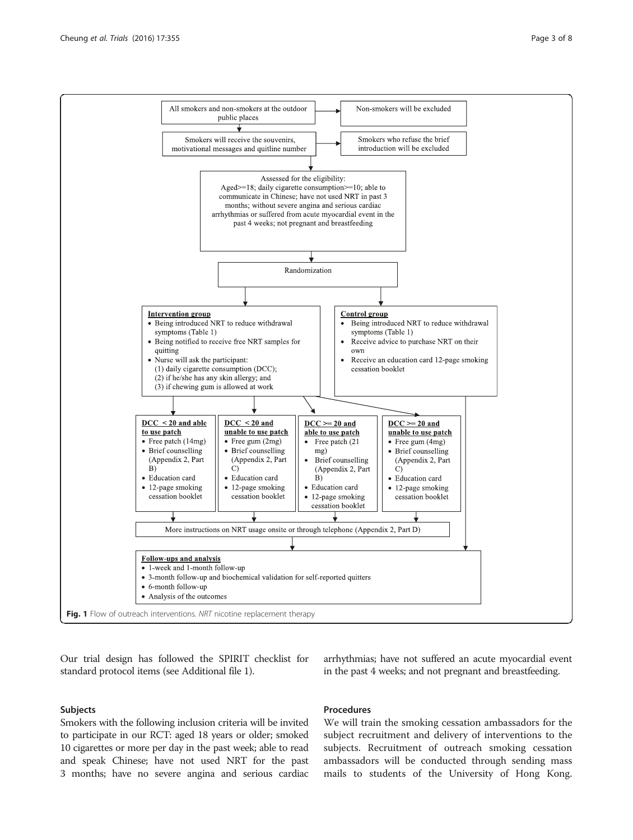<span id="page-2-0"></span>

Our trial design has followed the SPIRIT checklist for standard protocol items (see Additional file 1).

#### Subjects

Smokers with the following inclusion criteria will be invited to participate in our RCT: aged 18 years or older; smoked 10 cigarettes or more per day in the past week; able to read and speak Chinese; have not used NRT for the past 3 months; have no severe angina and serious cardiac

## Procedures

We will train the smoking cessation ambassadors for the subject recruitment and delivery of interventions to the subjects. Recruitment of outreach smoking cessation ambassadors will be conducted through sending mass mails to students of the University of Hong Kong.

arrhythmias; have not suffered an acute myocardial event in the past 4 weeks; and not pregnant and breastfeeding.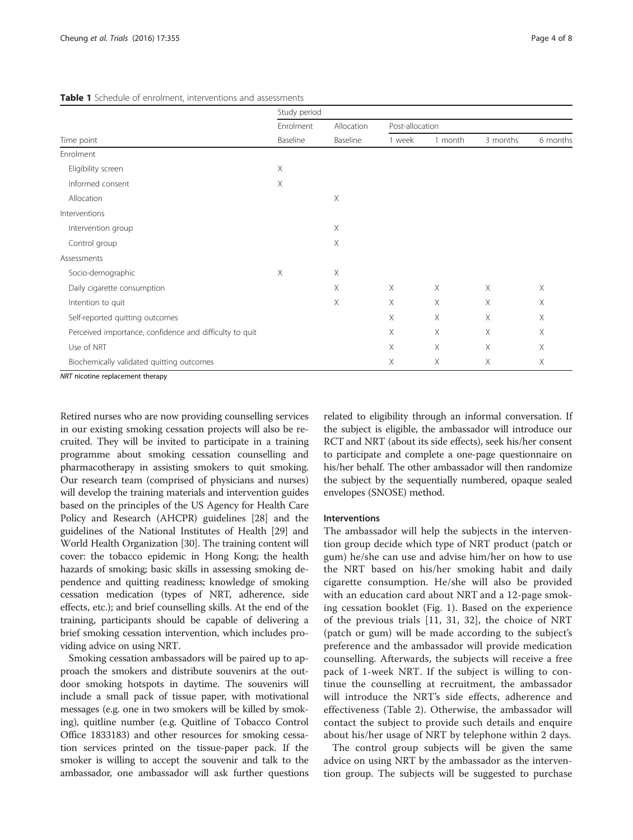#### <span id="page-3-0"></span>Table 1 Schedule of enrolment, interventions and assessments

| Time point                                              | Study period          |                        |                 |         |          |          |
|---------------------------------------------------------|-----------------------|------------------------|-----------------|---------|----------|----------|
|                                                         | Enrolment<br>Baseline | Allocation<br>Baseline | Post-allocation |         |          |          |
|                                                         |                       |                        | 1 week          | 1 month | 3 months | 6 months |
| Enrolment                                               |                       |                        |                 |         |          |          |
| Eligibility screen                                      | Χ                     |                        |                 |         |          |          |
| Informed consent                                        | X                     |                        |                 |         |          |          |
| Allocation                                              |                       | $\times$               |                 |         |          |          |
| Interventions                                           |                       |                        |                 |         |          |          |
| Intervention group                                      |                       | $\times$               |                 |         |          |          |
| Control group                                           |                       | $\times$               |                 |         |          |          |
| Assessments                                             |                       |                        |                 |         |          |          |
| Socio-demographic                                       | Χ                     | $\times$               |                 |         |          |          |
| Daily cigarette consumption                             |                       | Χ                      | $\times$        | Χ       | $\times$ | Χ        |
| Intention to quit                                       |                       | Χ                      | Χ               | Χ       | X        | Χ        |
| Self-reported quitting outcomes                         |                       |                        | Χ               | Χ       | $\times$ | Χ        |
| Perceived importance, confidence and difficulty to quit |                       |                        | $\times$        | X       | $\times$ | Χ        |
| Use of NRT                                              |                       |                        | Χ               | X       | Χ        | Χ        |
| Biochemically validated quitting outcomes               |                       |                        | Χ               | Χ       | Χ        | Χ        |

NRT nicotine replacement therapy

Retired nurses who are now providing counselling services in our existing smoking cessation projects will also be recruited. They will be invited to participate in a training programme about smoking cessation counselling and pharmacotherapy in assisting smokers to quit smoking. Our research team (comprised of physicians and nurses) will develop the training materials and intervention guides based on the principles of the US Agency for Health Care Policy and Research (AHCPR) guidelines [[28](#page-7-0)] and the guidelines of the National Institutes of Health [\[29](#page-7-0)] and World Health Organization [\[30\]](#page-7-0). The training content will cover: the tobacco epidemic in Hong Kong; the health hazards of smoking; basic skills in assessing smoking dependence and quitting readiness; knowledge of smoking cessation medication (types of NRT, adherence, side effects, etc.); and brief counselling skills. At the end of the training, participants should be capable of delivering a brief smoking cessation intervention, which includes providing advice on using NRT.

Smoking cessation ambassadors will be paired up to approach the smokers and distribute souvenirs at the outdoor smoking hotspots in daytime. The souvenirs will include a small pack of tissue paper, with motivational messages (e.g. one in two smokers will be killed by smoking), quitline number (e.g. Quitline of Tobacco Control Office 1833183) and other resources for smoking cessation services printed on the tissue-paper pack. If the smoker is willing to accept the souvenir and talk to the ambassador, one ambassador will ask further questions

related to eligibility through an informal conversation. If the subject is eligible, the ambassador will introduce our RCT and NRT (about its side effects), seek his/her consent to participate and complete a one-page questionnaire on his/her behalf. The other ambassador will then randomize the subject by the sequentially numbered, opaque sealed envelopes (SNOSE) method.

#### Interventions

The ambassador will help the subjects in the intervention group decide which type of NRT product (patch or gum) he/she can use and advise him/her on how to use the NRT based on his/her smoking habit and daily cigarette consumption. He/she will also be provided with an education card about NRT and a 12-page smoking cessation booklet (Fig. [1](#page-2-0)). Based on the experience of the previous trials [\[11](#page-6-0), [31](#page-7-0), [32\]](#page-7-0), the choice of NRT (patch or gum) will be made according to the subject's preference and the ambassador will provide medication counselling. Afterwards, the subjects will receive a free pack of 1-week NRT. If the subject is willing to continue the counselling at recruitment, the ambassador will introduce the NRT's side effects, adherence and effectiveness (Table [2\)](#page-4-0). Otherwise, the ambassador will contact the subject to provide such details and enquire about his/her usage of NRT by telephone within 2 days.

The control group subjects will be given the same advice on using NRT by the ambassador as the intervention group. The subjects will be suggested to purchase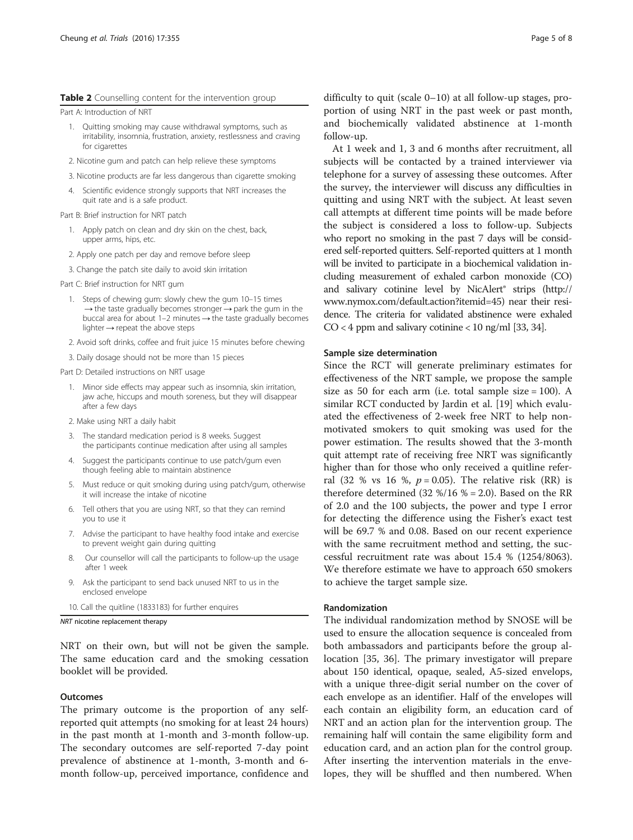#### <span id="page-4-0"></span>Table 2 Counselling content for the intervention group

Part A: Introduction of NRT

- 1. Quitting smoking may cause withdrawal symptoms, such as irritability, insomnia, frustration, anxiety, restlessness and craving for cigarettes
- 2. Nicotine gum and patch can help relieve these symptoms
- 3. Nicotine products are far less dangerous than cigarette smoking
- 4. Scientific evidence strongly supports that NRT increases the quit rate and is a safe product.
- Part B: Brief instruction for NRT patch
	- 1. Apply patch on clean and dry skin on the chest, back, upper arms, hips, etc.
	- 2. Apply one patch per day and remove before sleep
	- 3. Change the patch site daily to avoid skin irritation

Part C: Brief instruction for NRT gum

- 1. Steps of chewing gum: slowly chew the gum 10–15 times  $\rightarrow$  the taste gradually becomes stronger  $\rightarrow$  park the gum in the buccal area for about 1–2 minutes  $\rightarrow$  the taste gradually becomes lighter  $\rightarrow$  repeat the above steps
- 2. Avoid soft drinks, coffee and fruit juice 15 minutes before chewing
- 3. Daily dosage should not be more than 15 pieces

Part D: Detailed instructions on NRT usage

- 1. Minor side effects may appear such as insomnia, skin irritation, jaw ache, hiccups and mouth soreness, but they will disappear after a few days
- 2. Make using NRT a daily habit
- 3. The standard medication period is 8 weeks. Suggest the participants continue medication after using all samples
- 4. Suggest the participants continue to use patch/gum even though feeling able to maintain abstinence
- 5. Must reduce or quit smoking during using patch/gum, otherwise it will increase the intake of nicotine
- 6. Tell others that you are using NRT, so that they can remind you to use it
- 7. Advise the participant to have healthy food intake and exercise to prevent weight gain during quitting
- 8. Our counsellor will call the participants to follow-up the usage after 1 week
- 9. Ask the participant to send back unused NRT to us in the enclosed envelope

10. Call the quitline (1833183) for further enquires

NRT nicotine replacement therapy

NRT on their own, but will not be given the sample. The same education card and the smoking cessation booklet will be provided.

#### **Outcomes**

The primary outcome is the proportion of any selfreported quit attempts (no smoking for at least 24 hours) in the past month at 1-month and 3-month follow-up. The secondary outcomes are self-reported 7-day point prevalence of abstinence at 1-month, 3-month and 6 month follow-up, perceived importance, confidence and

difficulty to quit (scale 0–10) at all follow-up stages, proportion of using NRT in the past week or past month, and biochemically validated abstinence at 1-month follow-up.

At 1 week and 1, 3 and 6 months after recruitment, all subjects will be contacted by a trained interviewer via telephone for a survey of assessing these outcomes. After the survey, the interviewer will discuss any difficulties in quitting and using NRT with the subject. At least seven call attempts at different time points will be made before the subject is considered a loss to follow-up. Subjects who report no smoking in the past 7 days will be considered self-reported quitters. Self-reported quitters at 1 month will be invited to participate in a biochemical validation including measurement of exhaled carbon monoxide (CO) and salivary cotinine level by NicAlert® strips ([http://](http://www.nymox.com/default.action?itemid=45) [www.nymox.com/default.action?itemid=45](http://www.nymox.com/default.action?itemid=45)) near their residence. The criteria for validated abstinence were exhaled  $CO < 4$  ppm and salivary cotinine  $< 10$  ng/ml [\[33](#page-7-0), [34](#page-7-0)].

#### Sample size determination

Since the RCT will generate preliminary estimates for effectiveness of the NRT sample, we propose the sample size as 50 for each arm (i.e. total sample size  $= 100$ ). A similar RCT conducted by Jardin et al. [[19\]](#page-7-0) which evaluated the effectiveness of 2-week free NRT to help nonmotivated smokers to quit smoking was used for the power estimation. The results showed that the 3-month quit attempt rate of receiving free NRT was significantly higher than for those who only received a quitline referral (32 % vs 16 %,  $p = 0.05$ ). The relative risk (RR) is therefore determined  $(32 \frac{8}{16} \% = 2.0)$ . Based on the RR of 2.0 and the 100 subjects, the power and type I error for detecting the difference using the Fisher's exact test will be 69.7 % and 0.08. Based on our recent experience with the same recruitment method and setting, the successful recruitment rate was about 15.4 % (1254/8063). We therefore estimate we have to approach 650 smokers to achieve the target sample size.

#### Randomization

The individual randomization method by SNOSE will be used to ensure the allocation sequence is concealed from both ambassadors and participants before the group allocation [[35, 36\]](#page-7-0). The primary investigator will prepare about 150 identical, opaque, sealed, A5-sized envelops, with a unique three-digit serial number on the cover of each envelope as an identifier. Half of the envelopes will each contain an eligibility form, an education card of NRT and an action plan for the intervention group. The remaining half will contain the same eligibility form and education card, and an action plan for the control group. After inserting the intervention materials in the envelopes, they will be shuffled and then numbered. When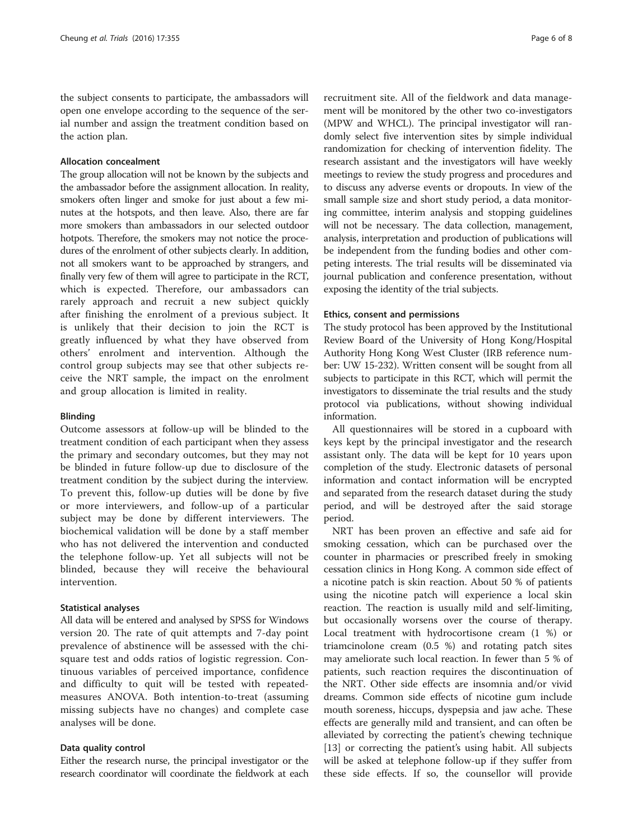the subject consents to participate, the ambassadors will open one envelope according to the sequence of the serial number and assign the treatment condition based on the action plan.

#### Allocation concealment

The group allocation will not be known by the subjects and the ambassador before the assignment allocation. In reality, smokers often linger and smoke for just about a few minutes at the hotspots, and then leave. Also, there are far more smokers than ambassadors in our selected outdoor hotpots. Therefore, the smokers may not notice the procedures of the enrolment of other subjects clearly. In addition, not all smokers want to be approached by strangers, and finally very few of them will agree to participate in the RCT, which is expected. Therefore, our ambassadors can rarely approach and recruit a new subject quickly after finishing the enrolment of a previous subject. It is unlikely that their decision to join the RCT is greatly influenced by what they have observed from others' enrolment and intervention. Although the control group subjects may see that other subjects receive the NRT sample, the impact on the enrolment and group allocation is limited in reality.

#### Blinding

Outcome assessors at follow-up will be blinded to the treatment condition of each participant when they assess the primary and secondary outcomes, but they may not be blinded in future follow-up due to disclosure of the treatment condition by the subject during the interview. To prevent this, follow-up duties will be done by five or more interviewers, and follow-up of a particular subject may be done by different interviewers. The biochemical validation will be done by a staff member who has not delivered the intervention and conducted the telephone follow-up. Yet all subjects will not be blinded, because they will receive the behavioural intervention.

#### Statistical analyses

All data will be entered and analysed by SPSS for Windows version 20. The rate of quit attempts and 7-day point prevalence of abstinence will be assessed with the chisquare test and odds ratios of logistic regression. Continuous variables of perceived importance, confidence and difficulty to quit will be tested with repeatedmeasures ANOVA. Both intention-to-treat (assuming missing subjects have no changes) and complete case analyses will be done.

#### Data quality control

Either the research nurse, the principal investigator or the research coordinator will coordinate the fieldwork at each

recruitment site. All of the fieldwork and data management will be monitored by the other two co-investigators (MPW and WHCL). The principal investigator will randomly select five intervention sites by simple individual randomization for checking of intervention fidelity. The research assistant and the investigators will have weekly meetings to review the study progress and procedures and to discuss any adverse events or dropouts. In view of the small sample size and short study period, a data monitoring committee, interim analysis and stopping guidelines will not be necessary. The data collection, management, analysis, interpretation and production of publications will be independent from the funding bodies and other competing interests. The trial results will be disseminated via journal publication and conference presentation, without exposing the identity of the trial subjects.

#### Ethics, consent and permissions

The study protocol has been approved by the Institutional Review Board of the University of Hong Kong/Hospital Authority Hong Kong West Cluster (IRB reference number: UW 15-232). Written consent will be sought from all subjects to participate in this RCT, which will permit the investigators to disseminate the trial results and the study protocol via publications, without showing individual information.

All questionnaires will be stored in a cupboard with keys kept by the principal investigator and the research assistant only. The data will be kept for 10 years upon completion of the study. Electronic datasets of personal information and contact information will be encrypted and separated from the research dataset during the study period, and will be destroyed after the said storage period.

NRT has been proven an effective and safe aid for smoking cessation, which can be purchased over the counter in pharmacies or prescribed freely in smoking cessation clinics in Hong Kong. A common side effect of a nicotine patch is skin reaction. About 50 % of patients using the nicotine patch will experience a local skin reaction. The reaction is usually mild and self-limiting, but occasionally worsens over the course of therapy. Local treatment with hydrocortisone cream (1 %) or triamcinolone cream (0.5 %) and rotating patch sites may ameliorate such local reaction. In fewer than 5 % of patients, such reaction requires the discontinuation of the NRT. Other side effects are insomnia and/or vivid dreams. Common side effects of nicotine gum include mouth soreness, hiccups, dyspepsia and jaw ache. These effects are generally mild and transient, and can often be alleviated by correcting the patient's chewing technique [[13\]](#page-6-0) or correcting the patient's using habit. All subjects will be asked at telephone follow-up if they suffer from these side effects. If so, the counsellor will provide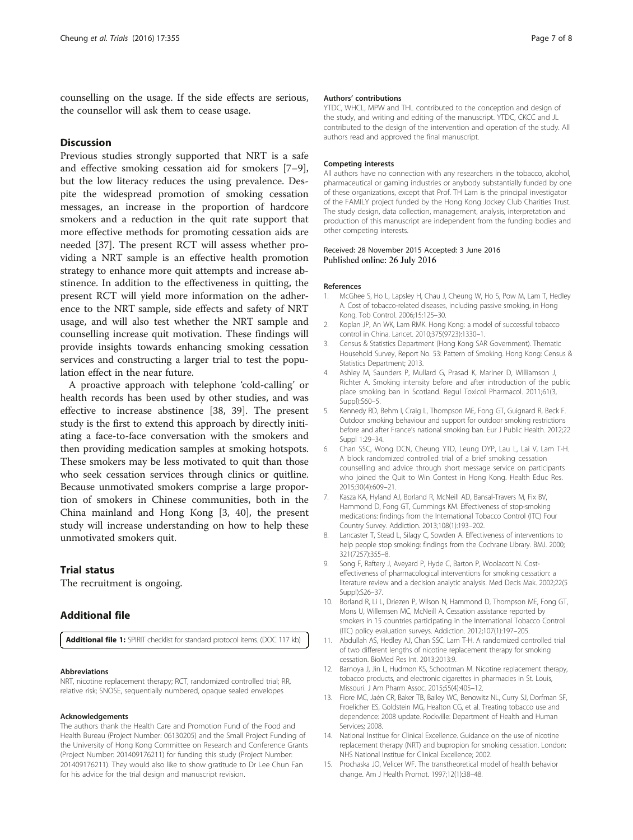<span id="page-6-0"></span>counselling on the usage. If the side effects are serious, the counsellor will ask them to cease usage.

## **Discussion**

Previous studies strongly supported that NRT is a safe and effective smoking cessation aid for smokers [7–9], but the low literacy reduces the using prevalence. Despite the widespread promotion of smoking cessation messages, an increase in the proportion of hardcore smokers and a reduction in the quit rate support that more effective methods for promoting cessation aids are needed [[37\]](#page-7-0). The present RCT will assess whether providing a NRT sample is an effective health promotion strategy to enhance more quit attempts and increase abstinence. In addition to the effectiveness in quitting, the present RCT will yield more information on the adherence to the NRT sample, side effects and safety of NRT usage, and will also test whether the NRT sample and counselling increase quit motivation. These findings will provide insights towards enhancing smoking cessation services and constructing a larger trial to test the population effect in the near future.

A proactive approach with telephone 'cold-calling' or health records has been used by other studies, and was effective to increase abstinence [\[38](#page-7-0), [39\]](#page-7-0). The present study is the first to extend this approach by directly initiating a face-to-face conversation with the smokers and then providing medication samples at smoking hotspots. These smokers may be less motivated to quit than those who seek cessation services through clinics or quitline. Because unmotivated smokers comprise a large proportion of smokers in Chinese communities, both in the China mainland and Hong Kong [3, [40](#page-7-0)], the present study will increase understanding on how to help these unmotivated smokers quit.

#### Trial status

The recruitment is ongoing.

## Additional file

[Additional file 1:](dx.doi.org/10.1186/s13063-016-1485-z) SPIRIT checklist for standard protocol items. (DOC 117 kb)

#### Abbreviations

NRT, nicotine replacement therapy; RCT, randomized controlled trial; RR, relative risk; SNOSE, sequentially numbered, opaque sealed envelopes

#### Acknowledgements

The authors thank the Health Care and Promotion Fund of the Food and Health Bureau (Project Number: 06130205) and the Small Project Funding of the University of Hong Kong Committee on Research and Conference Grants (Project Number: 201409176211) for funding this study (Project Number: 201409176211). They would also like to show gratitude to Dr Lee Chun Fan for his advice for the trial design and manuscript revision.

#### Authors' contributions

YTDC, WHCL, MPW and THL contributed to the conception and design of the study, and writing and editing of the manuscript. YTDC, CKCC and JL contributed to the design of the intervention and operation of the study. All authors read and approved the final manuscript.

#### Competing interests

All authors have no connection with any researchers in the tobacco, alcohol, pharmaceutical or gaming industries or anybody substantially funded by one of these organizations, except that Prof. TH Lam is the principal investigator of the FAMILY project funded by the Hong Kong Jockey Club Charities Trust. The study design, data collection, management, analysis, interpretation and production of this manuscript are independent from the funding bodies and other competing interests.

#### Received: 28 November 2015 Accepted: 3 June 2016 Published online: 26 July 2016

#### References

- 1. McGhee S, Ho L, Lapsley H, Chau J, Cheung W, Ho S, Pow M, Lam T, Hedley A. Cost of tobacco-related diseases, including passive smoking, in Hong Kong. Tob Control. 2006;15:125–30.
- 2. Koplan JP, An WK, Lam RMK. Hong Kong: a model of successful tobacco control in China. Lancet. 2010;375(9723):1330–1.
- 3. Census & Statistics Department (Hong Kong SAR Government). Thematic Household Survey, Report No. 53: Pattern of Smoking. Hong Kong: Census & Statistics Department; 2013.
- 4. Ashley M, Saunders P, Mullard G, Prasad K, Mariner D, Williamson J, Richter A. Smoking intensity before and after introduction of the public place smoking ban in Scotland. Regul Toxicol Pharmacol. 2011;61(3, Suppl):S60–5.
- 5. Kennedy RD, Behm I, Craig L, Thompson ME, Fong GT, Guignard R, Beck F. Outdoor smoking behaviour and support for outdoor smoking restrictions before and after France's national smoking ban. Eur J Public Health. 2012;22 Suppl 1:29–34.
- 6. Chan SSC, Wong DCN, Cheung YTD, Leung DYP, Lau L, Lai V, Lam T-H. A block randomized controlled trial of a brief smoking cessation counselling and advice through short message service on participants who joined the Quit to Win Contest in Hong Kong. Health Educ Res. 2015;30(4):609–21.
- 7. Kasza KA, Hyland AJ, Borland R, McNeill AD, Bansal-Travers M, Fix BV, Hammond D, Fong GT, Cummings KM. Effectiveness of stop-smoking medications: findings from the International Tobacco Control (ITC) Four Country Survey. Addiction. 2013;108(1):193–202.
- 8. Lancaster T, Stead L, Silagy C, Sowden A. Effectiveness of interventions to help people stop smoking: findings from the Cochrane Library. BMJ. 2000; 321(7257):355–8.
- 9. Song F, Raftery J, Aveyard P, Hyde C, Barton P, Woolacott N. Costeffectiveness of pharmacological interventions for smoking cessation: a literature review and a decision analytic analysis. Med Decis Mak. 2002;22(5 Suppl):S26–37.
- 10. Borland R, Li L, Driezen P, Wilson N, Hammond D, Thompson ME, Fong GT, Mons U, Willemsen MC, McNeill A. Cessation assistance reported by smokers in 15 countries participating in the International Tobacco Control (ITC) policy evaluation surveys. Addiction. 2012;107(1):197–205.
- 11. Abdullah AS, Hedley AJ, Chan SSC, Lam T-H. A randomized controlled trial of two different lengths of nicotine replacement therapy for smoking cessation. BioMed Res Int. 2013;2013:9.
- 12. Barnoya J, Jin L, Hudmon KS, Schootman M. Nicotine replacement therapy, tobacco products, and electronic cigarettes in pharmacies in St. Louis, Missouri. J Am Pharm Assoc. 2015;55(4):405–12.
- 13. Fiore MC, Jaén CR, Baker TB, Bailey WC, Benowitz NL, Curry SJ, Dorfman SF, Froelicher ES, Goldstein MG, Healton CG, et al. Treating tobacco use and dependence: 2008 update. Rockville: Department of Health and Human Services; 2008.
- 14. National Institue for Clinical Excellence. Guidance on the use of nicotine replacement therapy (NRT) and bupropion for smoking cessation. London: NHS National Institue for Clinical Excellence; 2002.
- 15. Prochaska JO, Velicer WF. The transtheoretical model of health behavior change. Am J Health Promot. 1997;12(1):38–48.